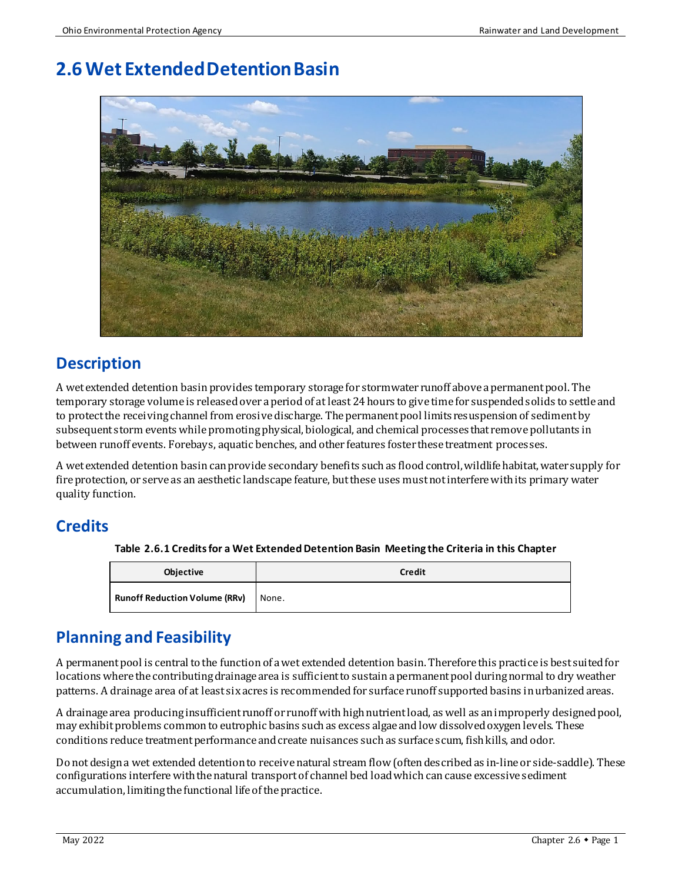# **2.6Wet Extended Detention Basin**



# **Description**

A wet extended detention basinprovides temporary storage for stormwater runoff above a permanent pool. The temporary storage volume is released over a period of at least 24 hours to give time for suspended solids to settle and to protect the receiving channel from erosive discharge. The permanent pool limits resuspension of sediment by subsequent storm events while promotingphysical, biological, and chemical processes that remove pollutants in between runoff events. Forebays, aquatic benches, and other features foster these treatment processes.

A wet extended detention basin can provide secondary benefits such as flood control, wildlife habitat, water supply for fire protection, or serve as an aesthetic landscape feature, but these uses must not interfere with its primary water quality function.

# **Credits**

**Table 2.6.1 Credits for a Wet Extended Detention Basin Meeting the Criteria in this Chapter**

| <b>Objective</b>                     | <b>Credit</b> |
|--------------------------------------|---------------|
| <b>Runoff Reduction Volume (RRv)</b> | None.         |

# **Planning and Feasibility**

A permanent pool is central to the function of a wet extended detention basin. Therefore this practice is best suited for locations where the contributing drainage area is sufficient to sustain a permanent pool during normal to dry weather patterns. A drainage area of at least six acres is recommended for surface runoff supported basins in urbanized areas.

A drainage area producinginsufficient runoff or runoff with high nutrient load, as well as an improperly designed pool, may exhibitproblems common to eutrophic basins such as excess algae and low dissolved oxygen levels. These conditions reduce treatment performance and create nuisances such as surface scum, fish kills, and odor.

Do not design a wet extended detention to receive natural stream flow (often described as in-line or side-saddle). These configurations interfere with the natural transport of channel bed load which can cause excessive sediment accumulation, limiting the functional life of the practice.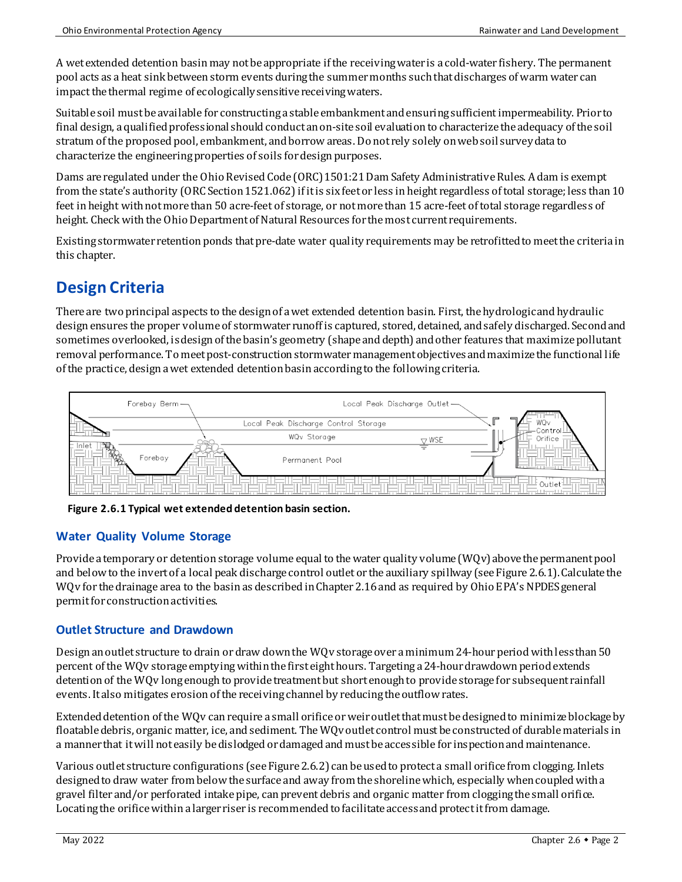A wet extended detention basin may not be appropriate if the receiving water is a cold-water fishery. The permanent pool acts as a heat sink between storm events during the summer months such that discharges of warm water can impact the thermal regime of ecologicallysensitive receiving waters.

Suitable soil must be available for constructing a stable embankment and ensuring sufficient impermeability. Prior to final design, a qualified professional should conduct an on-site soil evaluation to characterize the adequacy of the soil stratum of the proposed pool, embankment, and borrow areas. Do not rely solely on web soil surveydata to characterize the engineering properties of soils for design purposes.

Dams are regulated under the Ohio Revised Code (ORC) 1501:21 Dam Safety Administrative Rules. A dam is exempt from the state's authority (ORC Section 1521.062) if it is six feet or less in height regardless of total storage; less than 10 feet in height with not more than 50 acre-feet of storage, or not more than 15 acre-feet of total storage regardless of height. Check with the Ohio Department of Natural Resources for the most current requirements.

Existing stormwater retention ponds that pre-date water quality requirements may be retrofitted to meet the criteria in this chapter.

# **Design Criteria**

There are two principal aspects to the design of awet extended detention basin. First, the hydrologic and hydraulic design ensures theproper volume of stormwater runoff is captured, stored, detained, and safely discharged. Secondand sometimes overlooked, is designof the basin's geometry (shape and depth) and other features that maximize pollutant removal performance. To meet post-construction stormwater management objectives and maximize the functional life of the practice, design a wet extended detention basin according to the following criteria.



**Figure 2.6.1 Typical wet extended detention basin section.**

### **Water Quality Volume Storage**

Provide a temporary or detention storage volume equal to the water quality volume (WQv) above the permanent pool and below to the invert of a local peak discharge control outlet or the auxiliary spillway(see Figure 2.6.1). Calculate the WQv for the drainage area to the basin as described in Chapter 2.16and as required by Ohio EPA's NPDES general permit for construction activities.

### **Outlet Structure and Drawdown**

Design anoutlet structure to drain or draw down the WQv storage over a minimum 24-hour period with less than 50 percent of the WQv storage emptyingwithin the first eight hours. Targeting a 24-hour drawdownperiod extends detention of the WQv long enough to provide treatment but short enough to provide storage for subsequent rainfall events. It also mitigates erosion of the receiving channel by reducing the outflow rates.

Extended detention of the WQv canrequire a small orifice or weir outlet thatmust be designed to minimize blockageby floatable debris, organic matter, ice, and sediment. The WQv outlet control must be constructed of durable materials in a manner that it will not easily be dislodged or damaged and must be accessible for inspection and maintenance.

Various outlet structure configurations (see Figure 2.6.2) can be used to protect a small orifice from clogging. Inlets designed to draw water from below the surface and away from the shoreline which, especially when coupled witha gravel filter and/or perforated intake pipe, can prevent debris and organic matter from cloggingthe small orifice. Locating the orifice within a larger riser is recommended to facilitate access and protect it from damage.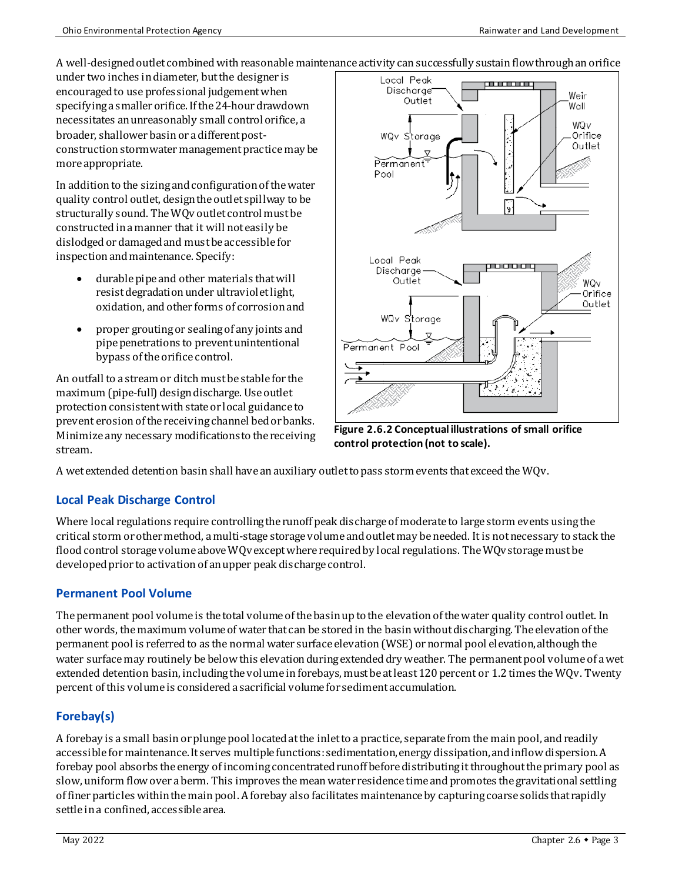A well-designed outlet combinedwith reasonable maintenance activity cansuccessfully sustain flow through an orifice

under two inches in diameter, but the designer is encouraged to use professional judgement when specifying a smaller orifice. If the 24-hour drawdown necessitates anunreasonably small control orifice, a broader, shallower basin or a different postconstruction stormwater management practicemay be more appropriate.

In addition to the sizingand configuration of the water quality control outlet, design the outlet spillway to be structurally sound. The WQv outlet control must be constructed in a manner that it will not easily be dislodged or damaged and must be accessible for inspection and maintenance. Specify:

- durable pipe and other materials that will resist degradation under ultravioletlight, oxidation, and other forms of corrosionand
- proper grouting or sealing of any joints and pipe penetrations to prevent unintentional bypass of the orifice control.

An outfall to a stream or ditch must be stable for the maximum (pipe-full) design discharge. Use outlet protection consistent with state or local guidance to prevent erosion of the receiving channel bed or banks. Minimize any necessary modifications to the receiving stream.



**Figure 2.6.2 Conceptual illustrations of small orifice control protection (not to scale).**

A wet extended detention basin shall have an auxiliary outlet to pass storm events that exceed the WQv.

### **Local Peak Discharge Control**

Where local regulations require controlling the runoff peak discharge of moderate to large storm events using the critical storm or other method, a multi-stage storage volume and outlet may be needed. It is not necessary to stack the flood control storage volume above WQv except where required by local regulations. The WQv storage must be developed prior to activation of an upper peak discharge control.

### **Permanent Pool Volume**

The permanent pool volume is the total volume of the basin up to the elevation of the water quality control outlet. In other words, the maximum volume of water that can be stored in the basin without discharging. The elevation of the permanent pool is referred to as the normal water surface elevation(WSE) or normal pool elevation, although the water surface may routinely be below this elevation during extended dry weather. The permanent pool volume of a wet extended detention basin, including the volume in forebays, must be at least 120 percent or 1.2 times the WQv. Twenty percent of this volume is considered a sacrificial volume for sediment accumulation.

### **Forebay(s)**

A forebay is a small basinor plunge pool located at the inlet to a practice, separate from the main pool, andreadily accessible for maintenance. It serves multiple functions: sedimentation, energy dissipation, and inflow dispersion. A forebay pool absorbs the energy of incoming concentrated runoff before distributing it throughout the primary pool as slow, uniform flow over aberm. This improves the mean water residence time and promotes the gravitational settling of finerparticles within the main pool. A forebay also facilitates maintenance by capturing coarse solids that rapidly settle in a confined, accessible area.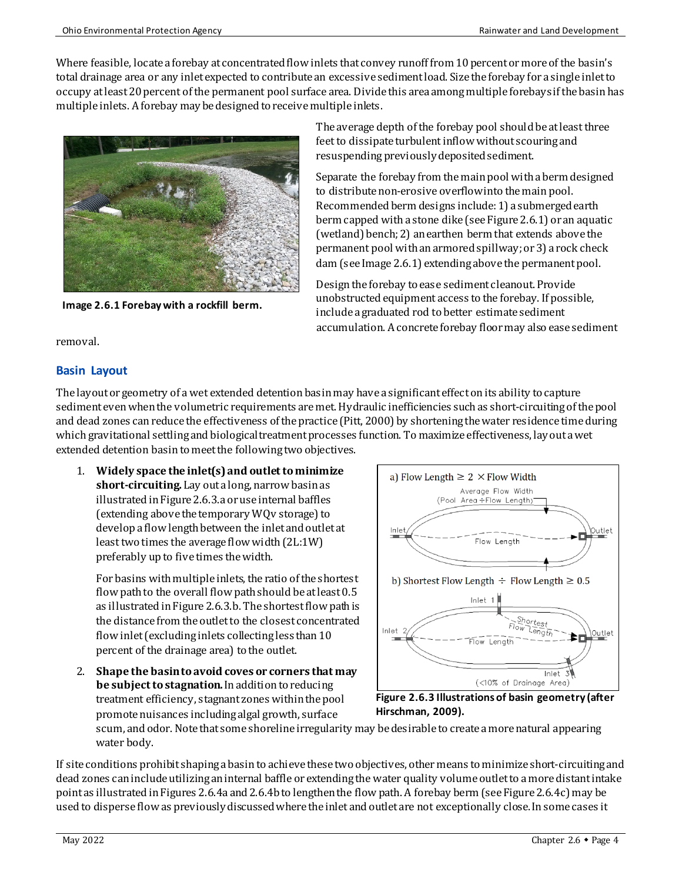Where feasible, locate a forebay at concentrated flow inlets that convey runoff from 10 percent or more of the basin's total drainage area or any inlet expected to contribute an excessive sediment load. Size the forebay for a single inlet to occupy at least 20 percent of the permanent pool surface area. Divide this area among multiple forebays if the basinhas multiple inlets. Aforebay may be designed to receive multiple inlets.



**Image 2.6.1 Forebay with a rockfill berm.**

The average depth of the forebay pool should be at least three feet to dissipate turbulent inflow without scouring and resuspending previously deposited sediment.

Separate the forebay from the main pool with a berm designed to distribute non-erosive overflow into the main pool. Recommended berm designs include:1) a submerged earth berm capped with a stone dike (see Figure 2.6.1) or an aquatic (wetland) bench;2) an earthen berm that extends above the permanent pool with an armored spillway;or3) a rock check dam (see Image 2.6.1) extendingabove the permanent pool.

Design the forebay to ease sediment cleanout. Provide unobstructed equipment access to the forebay. If possible, include a graduated rod to better estimate sediment accumulation. Aconcrete forebay floormay also ease sediment

removal.

### **Basin Layout**

The layout or geometry of a wet extended detention basin may have a significant effect on its ability to capture sediment even when the volumetric requirements are met. Hydraulic inefficiencies such as short-circuiting of the pool and dead zones can reduce the effectiveness of the practice (Pitt, 2000) by shortening the water residence timeduring which gravitational settling and biological treatment processes function. To maximize effectiveness, lay out a wet extended detention basinto meet the following two objectives.

1. **Widely space the inlet(s)and outlet to minimize short-circuiting.** Lay out a long, narrow basin as illustrated in Figure 2.6.3.a or use internal baffles (extending above the temporary WQv storage) to develop a flow length between the inlet and outlet at least two times the average flow width (2L:1W) preferably up to five times the width.

For basins with multiple inlets, the ratio of the shortest flow path to the overall flow path should be at least  $0.5$ as illustrated in Figure 2.6.3.b. The shortest flow path is the distance from the outlet to the closest concentrated flow inlet (excluding inlets collecting less than 10 percent of the drainage area) to the outlet.

2. **Shape the basin to avoid coves or corners that may be subject to stagnation.**In addition to reducing treatment efficiency, stagnant zones within the pool promote nuisances including algal growth, surface



**Figure 2.6.3 Illustrations of basin geometry (after Hirschman, 2009).**

scum, and odor. Note that some shoreline irregularity may be desirable to create a more natural appearing water body.

If site conditions prohibit shaping a basin to achieve these two objectives, other means to minimizeshort-circuiting and dead zones caninclude utilizing aninternal baffle or extendingthe water quality volume outlet to a more distant intake point as illustrated in Figures 2.6.4a and 2.6.4b to lengthen the flow path. A forebay berm (seeFigure 2.6.4c) may be used to disperse flow as previously discussed where the inlet and outlet are not exceptionally close. In some cases it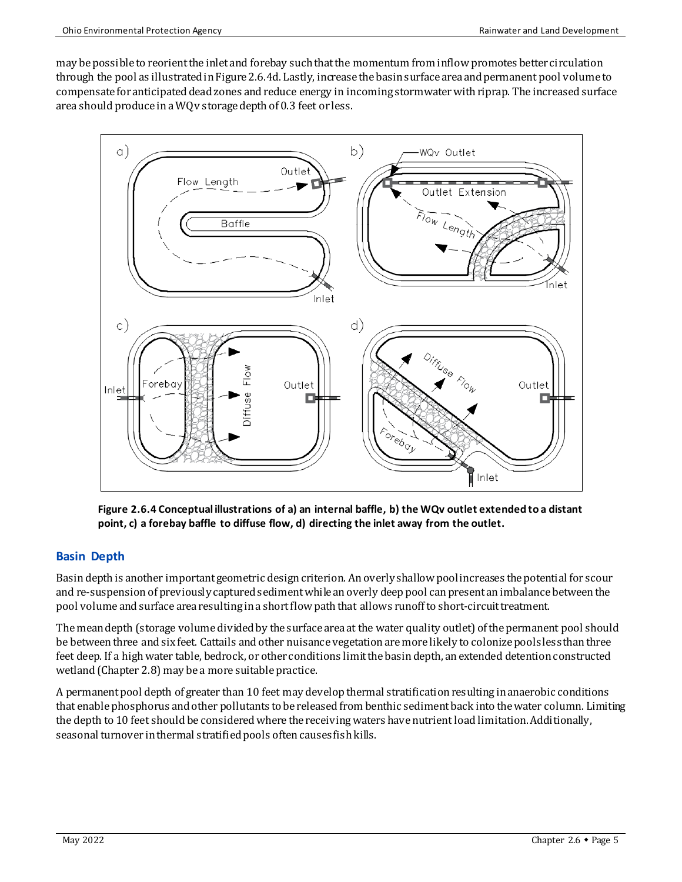may be possible to reorient the inlet and forebay such that the momentum from inflow promotes better circulation through the pool as illustrated in Figure2.6.4d. Lastly, increase the basin surface area and permanent pool volume to compensate for anticipated dead zones and reduce energy in incoming stormwater with riprap. The increased surface area should produce in aWQv storage depth of 0.3 feet or less.



**Figure 2.6.4 Conceptual illustrations of a) an internal baffle, b) the WQv outlet extended to a distant point, c) a forebay baffle to diffuse flow, d) directing the inlet away from the outlet.** 

#### **Basin Depth**

Basin depth is another important geometric design criterion. An overly shallow pool increases the potential for scour and re-suspension of previously captured sedimentwhile an overly deep pool can present an imbalance between the pool volume and surface area resulting in a short flow path that allows runoff to short-circuit treatment.

The mean depth (storage volume divided by the surface area at the water quality outlet) of the permanent pool should be between three and six feet. Cattails and other nuisance vegetation are more likely to colonize pools less than three feet deep. If a high water table, bedrock, or other conditions limit the basin depth, an extended detention constructed wetland (Chapter 2.8) may be a more suitable practice.

A permanent pool depth of greater than 10 feet may develop thermal stratification resulting in anaerobic conditions that enable phosphorus and other pollutants to be released from benthic sedimentback into the water column. Limiting the depth to 10 feet should be considered where the receiving waters have nutrient load limitation. Additionally, seasonal turnover in thermal stratified pools often causes fish kills.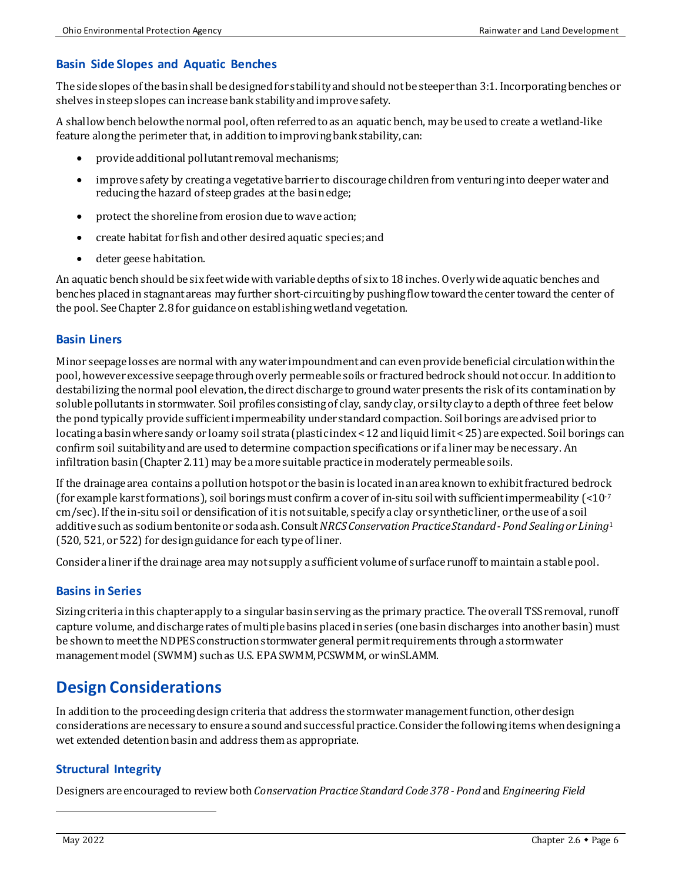### **Basin Side Slopes and Aquatic Benches**

The side slopes of the basin shall be designed for stability and shouldnot be steeper than 3:1. Incorporating benches or shelves in steep slopes can increase bank stabilityand improve safety.

A shallow bench below the normal pool, often referred to as an aquatic bench, may be used to create a wetland-like feature along the perimeter that, in addition to improving bank stability, can:

- provide additional pollutant removal mechanisms;
- improve safety by creating a vegetative barrier to discourage children from venturing into deeper water and reducing the hazard of steep grades at the basinedge;
- protect the shoreline from erosion due to wave action;
- create habitat for fish and other desired aquatic species; and
- deter geese habitation.

An aquatic bench should be six feet wide with variable depths of six to 18 inches. Overly wide aquatic benches and benches placed in stagnant areas may further short-circuiting by pushing flow toward the center toward the center of the pool. See Chapter 2.8 for guidance on establishing wetland vegetation.

#### **Basin Liners**

Minor seepage losses are normal with any water impoundment and can even provide beneficial circulation within the pool, however excessive seepage through overly permeable soils or fractured bedrock should not occur. In addition to destabilizing the normal pool elevation, the direct discharge to ground water presents the risk of its contamination by soluble pollutants in stormwater. Soil profilesconsisting of clay, sandy clay, or silty clayto a depth of three feet below the pond typically provide sufficient impermeability under standard compaction. Soil borings are advised prior to locating a basin where sandy or loamy soil strata (plastic index < 12 and liquid limit < 25) are expected. Soil borings can confirm soil suitability and are used to determine compaction specifications or if a liner may be necessary. An infiltration basin (Chapter 2.11) may be a more suitable practice in moderately permeable soils.

If the drainage area contains a pollution hotspotor the basin is located in an areaknown to exhibit fractured bedrock (for example karst formations), soil borings must confirm a cover of in-situ soil with sufficient impermeability (<10<sup>-7</sup>) cm/sec). If the in-situ soil or densification of it is not suitable, specify a clay or synthetic liner, or the use of a soil additive such as sodium bentoniteor soda ash. Consult *NRCS Conservation Practice Standard - Pond Sealing or Lining*[1](#page-5-0) (520, 521, or 522) for design guidance for each type of liner.

Consider a liner if the drainage area may not supply a sufficient volume of surface runoff to maintain a stable pool.

#### **Basins in Series**

Sizing criteria in this chapter apply to a singular basin serving as the primary practice. Theoverall TSS removal, runoff capture volume, and discharge rates of multiple basins placed in series (one basin discharges into another basin) must be shown to meet the NDPES construction stormwater general permit requirements through a stormwater management model (SWMM) such as U.S. EPA SWMM, PCSWMM, or winSLAMM.

# **Design Considerations**

In addition to the proceeding design criteria that address the stormwater management function, other design considerations are necessary to ensure a sound and successful practice. Consider the following items when designing a wet extended detention basin and address them as appropriate.

### **Structural Integrity**

<span id="page-5-0"></span>Designers are encouraged to review both *Conservation Practice Standard Code 378 - Pond* and *Engineering Field*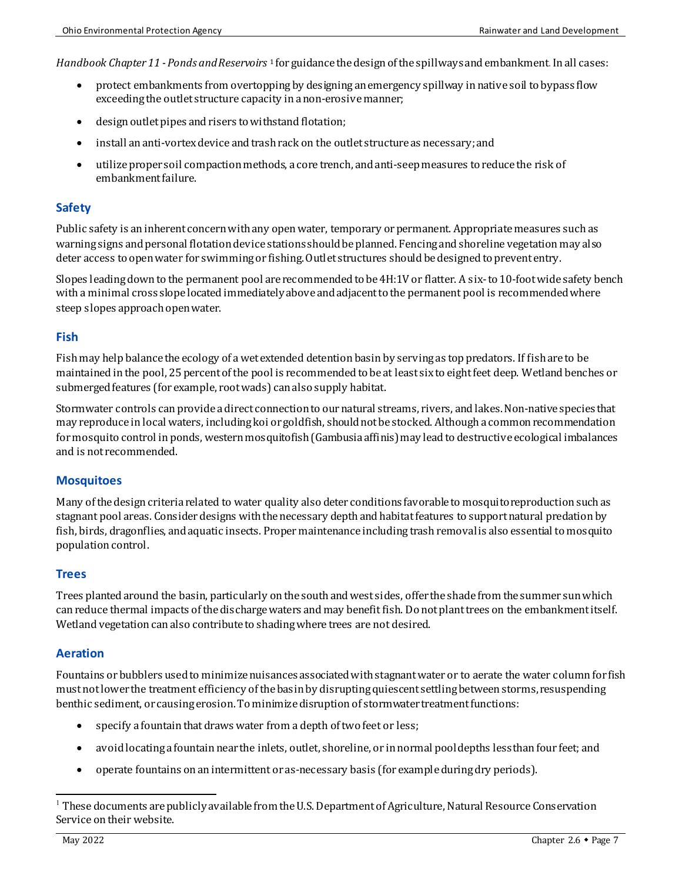*Handbook Chapter 11 - Ponds and Reservoirs* [1](#page-6-0) for guidance the design of the spillwaysand embankment. In all cases:

- protect embankments from overtopping by designingan emergency spillway in native soil to bypass flow exceeding the outlet structure capacity in a non-erosive manner;
- design outlet pipes and risers to withstand flotation;
- install an anti-vortex device and trash rack on the outlet structure as necessary; and
- utilize proper soil compaction methods, a core trench, and anti-seep measures to reduce the risk of embankment failure.

#### **Safety**

Public safety is an inherent concern with any open water, temporary or permanent. Appropriate measures such as warning signs and personal flotation device stations should be planned. Fencing and shoreline vegetation may also deter access to open water for swimming or fishing. Outlet structures should be designed to prevententry.

Slopes leading down to the permanent pool are recommended to be 4H:1V or flatter. A six-to 10-foot wide safety bench with a minimal cross slope located immediately above and adjacent to the permanent pool is recommended where steep slopes approach open water.

#### **Fish**

Fish may help balance the ecology of a wet extended detention basin by serving as top predators. If fish are to be maintained in the pool, 25 percent of the pool is recommended to be at least six to eight feet deep. Wetland benches or submerged features (for example, root wads) can also supply habitat.

Stormwater controls can provide a direct connection to our natural streams, rivers, and lakes. Non-native species that may reproduce in local waters, including koi or goldfish, should not be stocked. Although a common recommendation formosquito control in ponds, western mosquitofish (Gambusia affinis)may lead to destructive ecological imbalances and is not recommended.

#### **Mosquitoes**

Many of the design criteria related to water quality also deter conditions favorable to mosquitoreproductionsuch as stagnant pool areas. Consider designs with the necessary depth and habitat features to support natural predation by fish, birds, dragonflies, and aquatic insects. Proper maintenance including trash removal is also essential to mosquito population control.

#### **Trees**

Trees planted around the basin, particularly on the south and west sides, offer the shade from the summer sunwhich can reduce thermal impacts of the discharge waters and may benefit fish. Do not plant trees on the embankment itself. Wetland vegetation can also contribute to shading where trees are not desired.

#### **Aeration**

Fountains or bubblers used to minimize nuisances associated with stagnant water or to aerate the water column for fish must not lower the treatment efficiency of the basin by disrupting quiescent settling between storms, resuspending benthic sediment, or causingerosion. To minimize disruption of stormwater treatment functions:

- specify a fountain that draws water from a depth of two feet or less;
- avoidlocating a fountain near the inlets, outlet, shoreline, or in normal pool depths less than four feet; and
- operate fountains on an intermittent or as-necessary basis (for example during dry periods).

<span id="page-6-0"></span><sup>1</sup> These documents are publicly available from the U.S. Department of Agriculture, Natural Resource Conservation Service on their website.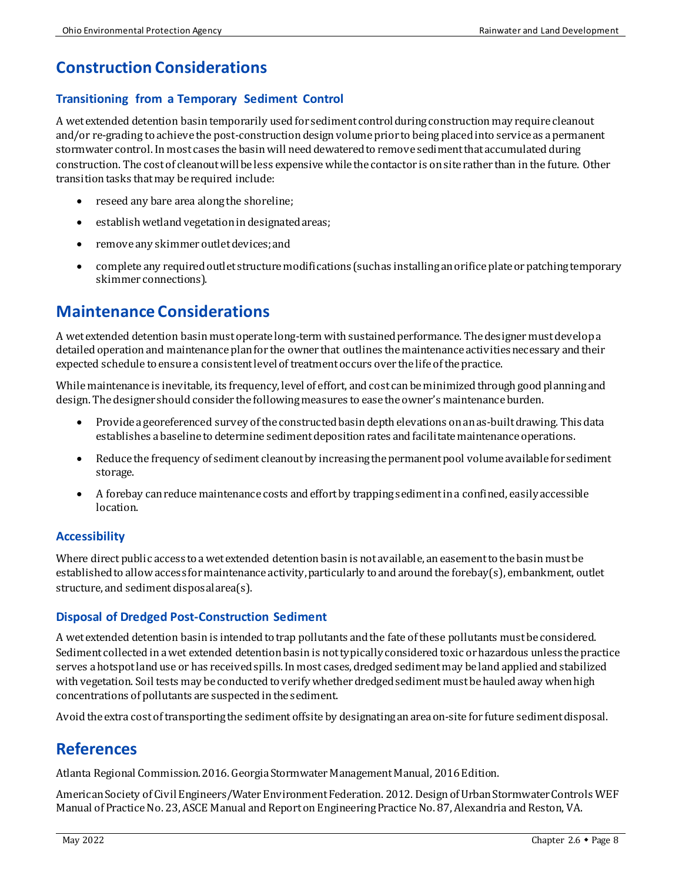# **Construction Considerations**

## **Transitioning from a Temporary Sediment Control**

A wet extended detention basintemporarily used for sediment control during constructionmay require cleanout and/or re-grading to achieve the post-construction design volume prior to being placed into service as a permanent stormwater control. In most cases the basinwill need dewatered to remove sedimentthat accumulated during construction. The cost of cleanout will be less expensive while the contactor is on site rather than in the future. Other transition tasks that may be required include:

- reseed any bare area along the shoreline;
- establish wetland vegetation in designated areas;
- remove any skimmer outlet devices; and
- complete any required outlet structure modifications (such as installing an orifice plate or patching temporary skimmer connections).

# **Maintenance Considerations**

A wet extended detention basinmustoperate long-term with sustained performance. The designer must develop a detailed operation and maintenance plan for the owner that outlines the maintenance activities necessary and their expected schedule to ensure a consistent level of treatment occurs over the life of the practice.

While maintenance is inevitable, its frequency, level of effort, and cost can be minimized through good planning and design. The designer should consider the following measures to ease the owner's maintenance burden.

- Provide a georeferenced survey of the constructed basin depth elevations on an as-built drawing. This data establishes a baseline to determine sediment deposition rates and facilitatemaintenance operations.
- Reduce the frequency of sediment cleanout by increasing the permanent pool volume available for sediment storage.
- A forebay can reduce maintenance costs and effort by trapping sediment in a confined, easily accessible location.

### **Accessibility**

Where direct public access to a wet extended detention basin is notavailable, an easement to the basin must be established to allow access for maintenance activity, particularly to and around the forebay(s), embankment, outlet structure, and sediment disposal area(s).

### **Disposal of Dredged Post-Construction Sediment**

A wet extended detention basinis intended to trap pollutants and the fate of these pollutants must be considered. Sediment collected in a wet extended detention basin is not typically considered toxic or hazardous unless the practice serves a hotspot land use or has received spills. In most cases, dredged sediment may be land applied and stabilized with vegetation. Soil tests may be conducted to verify whether dredged sediment must be hauled away whenhigh concentrations of pollutants are suspectedin the sediment.

Avoid the extra cost of transporting the sedimentoffsiteby designatingan area on-site for future sediment disposal.

# **References**

Atlanta Regional Commission. 2016. Georgia Stormwater Management Manual, 2016 Edition.

American Society of Civil Engineers/Water Environment Federation. 2012. Design of Urban Stormwater Controls WEF Manual of Practice No. 23, ASCE Manual and Report on Engineering Practice No. 87, Alexandria and Reston, VA.